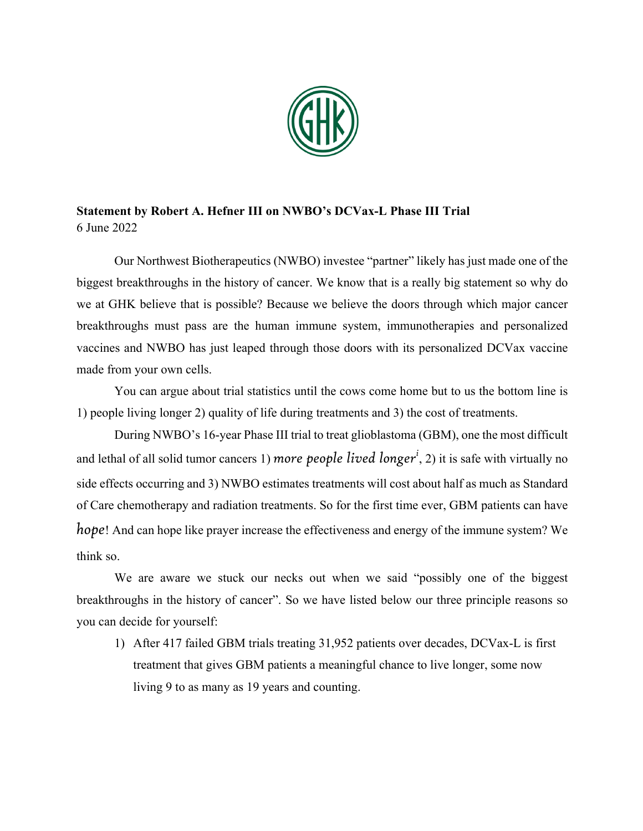

## **Statement by Robert A. Hefner III on NWBO's DCVax-L Phase III Trial** 6 June 2022

Our Northwest Biotherapeutics (NWBO) investee "partner" likely has just made one of the biggest breakthroughs in the history of cancer. We know that is a really big statement so why do we at GHK believe that is possible? Because we believe the doors through which major cancer breakthroughs must pass are the human immune system, immunotherapies and personalized vaccines and NWBO has just leaped through those doors with its personalized DCVax vaccine made from your own cells.

You can argue about trial statistics until the cows come home but to us the bottom line is 1) people living longer 2) quality of life during treatments and 3) the cost of treatments.

During NWBO's 16-year Phase III trial to treat glioblastoma (GBM), one the most difficult and lethal of all solid tumor cancers 1) mor*e people lived longer<sup>i</sup>,* 2) it is safe with virtually no side effects occurring and 3) NWBO estimates treatments will cost about half as much as Standard of Care chemotherapy and radiation treatments. So for the first time ever, GBM patients can have *hope*! And can hope like prayer increase the effectiveness and energy of the immune system? We think so.

We are aware we stuck our necks out when we said "possibly one of the biggest breakthroughs in the history of cancer". So we have listed below our three principle reasons so you can decide for yourself:

1) After 417 failed GBM trials treating 31,952 patients over decades, DCVax-L is first treatment that gives GBM patients a meaningful chance to live longer, some now living 9 to as many as 19 years and counting.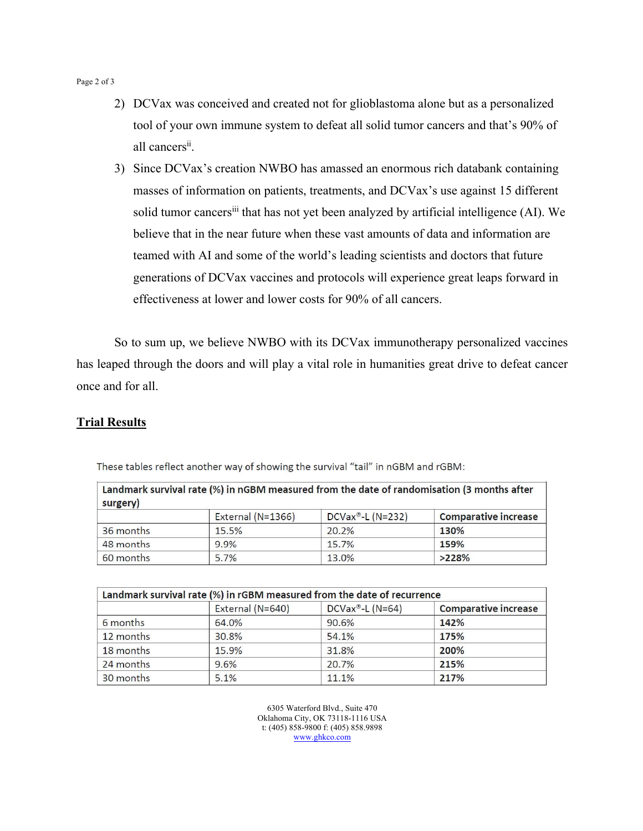Page 2 of 3

- 2) DCVax was conceived and created not for glioblastoma alone but as a personalized tool of your own immune system to defeat all solid tumor cancers and that's 90% of all cancers<sup>ii</sup>.
- 3) Since DCVax's creation NWBO has amassed an enormous rich databank containing masses of information on patients, treatments, and DCVax's use against 15 different solid tumor cancers<sup>iii</sup> that has not yet been analyzed by artificial intelligence (AI). We believe that in the near future when these vast amounts of data and information are teamed with AI and some of the world's leading scientists and doctors that future generations of DCVax vaccines and protocols will experience great leaps forward in effectiveness at lower and lower costs for 90% of all cancers.

So to sum up, we believe NWBO with its DCVax immunotherapy personalized vaccines has leaped through the doors and will play a vital role in humanities great drive to defeat cancer once and for all.

## **Trial Results**

| Landmark survival rate (%) in nGBM measured from the date of randomisation (3 months after<br>surgery) |                   |                  |                             |  |
|--------------------------------------------------------------------------------------------------------|-------------------|------------------|-----------------------------|--|
|                                                                                                        | External (N=1366) | DCVax®-L (N=232) | <b>Comparative increase</b> |  |
| 36 months                                                                                              | 15.5%             | 20.2%            | 130%                        |  |
| 48 months                                                                                              | 9.9%              | 15.7%            | 159%                        |  |
| 60 months                                                                                              | 5.7%              | 13.0%            | >228%                       |  |

These tables reflect another way of showing the survival "tail" in nGBM and rGBM:

| Landmark survival rate (%) in rGBM measured from the date of recurrence |                  |                     |                             |  |
|-------------------------------------------------------------------------|------------------|---------------------|-----------------------------|--|
|                                                                         | External (N=640) | $DCVax^*$ -L (N=64) | <b>Comparative increase</b> |  |
| 6 months                                                                | 64.0%            | 90.6%               | 142%                        |  |
| 12 months                                                               | 30.8%            | 54.1%               | 175%                        |  |
| 18 months                                                               | 15.9%            | 31.8%               | 200%                        |  |
| 24 months                                                               | 9.6%             | 20.7%               | 215%                        |  |
| 30 months                                                               | 5.1%             | 11.1%               | 217%                        |  |

6305 Waterford Blvd., Suite 470 Oklahoma City, OK 73118-1116 USA t: (405) 858-9800 f: (405) 858.9898 www.ghkco.com